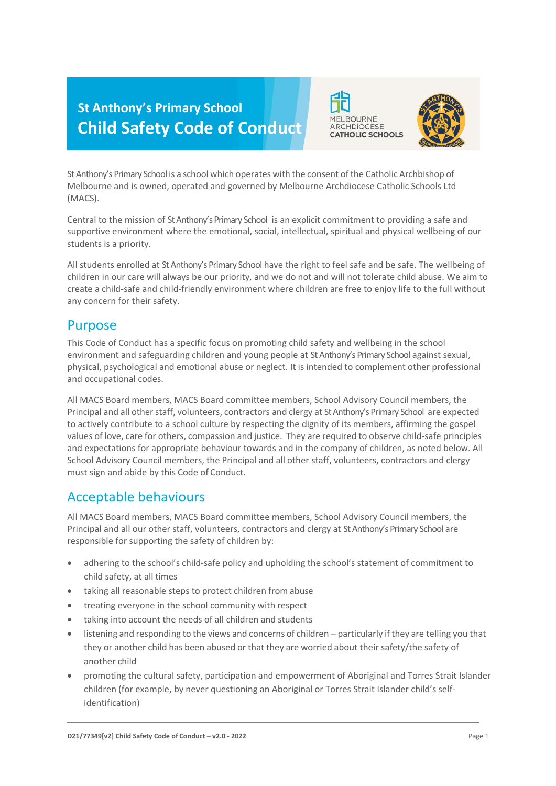# **St Anthony's Primary School Child Safety Code of Conduct**





St Anthony's Primary School is a school which operates with the consent of the Catholic Archbishop of Melbourne and is owned, operated and governed by Melbourne Archdiocese Catholic Schools Ltd (MACS).

Central to the mission of St Anthony's Primary School is an explicit commitment to providing a safe and supportive environment where the emotional, social, intellectual, spiritual and physical wellbeing of our students is a priority.

All students enrolled at St Anthony's Primary School have the right to feel safe and be safe. The wellbeing of children in our care will always be our priority, and we do not and will not tolerate child abuse. We aim to create a child-safe and child-friendly environment where children are free to enjoy life to the full without any concern for their safety.

#### Purpose

This Code of Conduct has a specific focus on promoting child safety and wellbeing in the school environment and safeguarding children and young people at St Anthony's Primary School against sexual, physical, psychological and emotional abuse or neglect. It is intended to complement other professional and occupational codes.

All MACS Board members, MACS Board committee members, School Advisory Council members, the Principal and all other staff, volunteers, contractors and clergy at St Anthony's Primary School are expected to actively contribute to a school culture by respecting the dignity of its members, affirming the gospel values of love, care for others, compassion and justice. They are required to observe child-safe principles and expectations for appropriate behaviour towards and in the company of children, as noted below. All School Advisory Council members, the Principal and all other staff, volunteers, contractors and clergy must sign and abide by this Code of Conduct.

# Acceptable behaviours

All MACS Board members, MACS Board committee members, School Advisory Council members, the Principal and all our other staff, volunteers, contractors and clergy at St Anthony's Primary School are responsible for supporting the safety of children by:

- adhering to the school's child-safe policy and upholding the school's statement of commitment to child safety, at all times
- taking all reasonable steps to protect children from abuse
- treating everyone in the school community with respect
- taking into account the needs of all children and students
- listening and responding to the views and concerns of children particularly if they are telling you that they or another child has been abused or that they are worried about their safety/the safety of another child
- promoting the cultural safety, participation and empowerment of Aboriginal and Torres Strait Islander children (for example, by never questioning an Aboriginal or Torres Strait Islander child's selfidentification)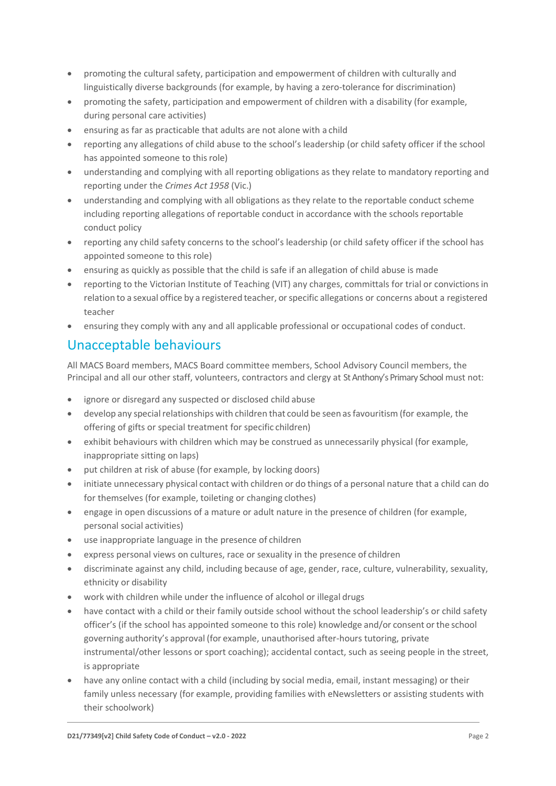- promoting the cultural safety, participation and empowerment of children with culturally and linguistically diverse backgrounds (for example, by having a zero-tolerance for discrimination)
- promoting the safety, participation and empowerment of children with a disability (for example, during personal care activities)
- ensuring as far as practicable that adults are not alone with a child
- reporting any allegations of child abuse to the school's leadership (or child safety officer if the school has appointed someone to this role)
- understanding and complying with all reporting obligations as they relate to mandatory reporting and reporting under the *Crimes Act 1958* (Vic.)
- understanding and complying with all obligations as they relate to the reportable conduct scheme including reporting allegations of reportable conduct in accordance with the schools reportable conduct policy
- reporting any child safety concerns to the school's leadership (or child safety officer if the school has appointed someone to this role)
- ensuring as quickly as possible that the child is safe if an allegation of child abuse is made
- reporting to the Victorian Institute of Teaching (VIT) any charges, committals for trial or convictionsin relation to a sexual office by a registered teacher, or specific allegations or concerns about a registered teacher
- ensuring they comply with any and all applicable professional or occupational codes of conduct.

## Unacceptable behaviours

All MACS Board members, MACS Board committee members, School Advisory Council members, the Principal and all our other staff, volunteers, contractors and clergy at St Anthony's Primary School must not:

- ignore or disregard any suspected or disclosed child abuse
- develop any special relationships with children that could be seen as favouritism (for example, the offering of gifts or special treatment for specific children)
- exhibit behaviours with children which may be construed as unnecessarily physical (for example, inappropriate sitting on laps)
- put children at risk of abuse (for example, by locking doors)
- initiate unnecessary physical contact with children or do things of a personal nature that a child can do for themselves (for example, toileting or changing clothes)
- engage in open discussions of a mature or adult nature in the presence of children (for example, personal social activities)
- use inappropriate language in the presence of children
- express personal views on cultures, race or sexuality in the presence of children
- discriminate against any child, including because of age, gender, race, culture, vulnerability, sexuality, ethnicity or disability
- work with children while under the influence of alcohol or illegal drugs
- have contact with a child or their family outside school without the school leadership's or child safety officer's (if the school has appointed someone to this role) knowledge and/or consent orthe school governing authority's approval (for example, unauthorised after-hours tutoring, private instrumental/other lessons or sport coaching); accidental contact, such as seeing people in the street, is appropriate
- have any online contact with a child (including by social media, email, instant messaging) or their family unless necessary (for example, providing families with eNewsletters or assisting students with their schoolwork)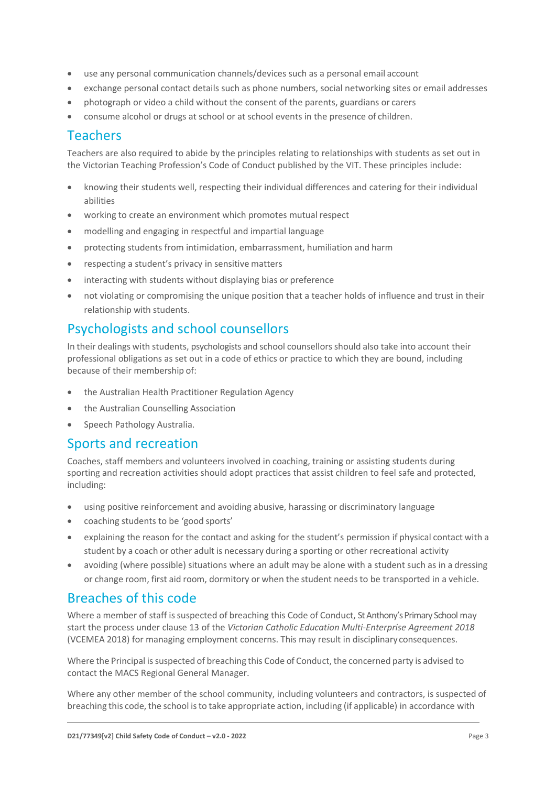- use any personal communication channels/devices such as a personal email account
- exchange personal contact details such as phone numbers, social networking sites or email addresses
- photograph or video a child without the consent of the parents, guardians or carers
- consume alcohol or drugs at school or at school events in the presence of children.

### **Teachers**

Teachers are also required to abide by the principles relating to relationships with students as set out in the Victorian Teaching Profession's Code of Conduct published by the VIT. These principles include:

- knowing their students well, respecting their individual differences and catering for their individual abilities
- working to create an environment which promotes mutual respect
- modelling and engaging in respectful and impartial language
- protecting students from intimidation, embarrassment, humiliation and harm
- respecting a student's privacy in sensitive matters
- interacting with students without displaying bias or preference
- not violating or compromising the unique position that a teacher holds of influence and trust in their relationship with students.

#### Psychologists and school counsellors

In their dealings with students, psychologists and school counsellorsshould also take into account their professional obligations as set out in a code of ethics or practice to which they are bound, including because of their membership of:

- the Australian Health Practitioner Regulation Agency
- the Australian Counselling Association
- **•** Speech Pathology Australia.

#### Sports and recreation

Coaches, staff members and volunteers involved in coaching, training or assisting students during sporting and recreation activities should adopt practices that assist children to feel safe and protected, including:

- using positive reinforcement and avoiding abusive, harassing or discriminatory language
- coaching students to be 'good sports'
- explaining the reason for the contact and asking for the student's permission if physical contact with a student by a coach or other adult is necessary during a sporting or other recreational activity
- avoiding (where possible) situations where an adult may be alone with a student such as in a dressing or change room, first aid room, dormitory or when the student needs to be transported in a vehicle.

## Breaches of this code

Where a member of staff is suspected of breaching this Code of Conduct, St Anthony's Primary School may start the process under clause 13 of the *Victorian Catholic Education Multi-Enterprise Agreement 2018*  (VCEMEA 2018) for managing employment concerns. This may result in disciplinary consequences.

Where the Principal is suspected of breaching this Code of Conduct, the concerned party is advised to contact the MACS Regional General Manager.

Where any other member of the school community, including volunteers and contractors, is suspected of breaching this code, the school isto take appropriate action, including (if applicable) in accordance with